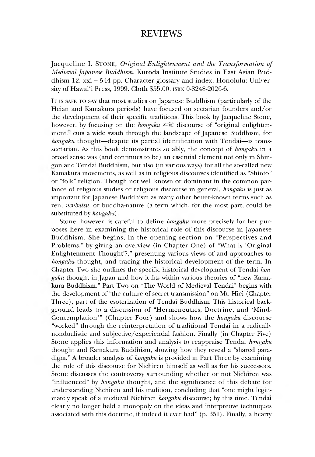## REVIEWS

Jacqueline I. STONE, *Original Enlightenment and the Transformation of Medieval Japanese Buddhism.* Kuroda Institute Studies in East Asian Buddhism 12. xxi + 544 pp. Character glossary and index. Honolulu: University of Hawai'i Press, 1999. Cloth \$55.00. isbn 0-8248-2026-6.

It is safe to say that most studies on Japanese Buddhism (particularly of the Heian and Kamakura periods) have focused on sectarian founders and/or the development of their specific traditions. This book by Jacqueline Stone, however, by focusing on the *hongaku* 本覚 discourse of "original enlightenment," cuts a wide swath through the landscape of Japanese Buddhism, for *hongaku* thought—despite its partial identification with Tendai—is transsectarian. As this book demonstrates so ably, the concept of *hongaku* in a broad sense was (and continues to be) an essential element not only in Shingon and Tendai Buddhism, but also (in various ways) for all the so-called new Kamakura movements, as well as in religious discourses identified as "Shinto" or "folk" religion. Though not well known or dominant in the common parlance of religious studies or religious discourse in general, *hongaku* is just as important for Japanese Buddhism as many other better-known terms such as zen, *nenbutsu,* or buddha-nature (a term which, for the most part, could be substituted by *hongaku*).

Stone, however, is careful to define *hongaku* more precisely for her purposes here in examining the historical role of this discourse in Japanese Buddhism. She begins, in the opening section on "Perspectives and Problems," by giving an overview (in Chapter One) of "What is 'Original Enlightenment Thought'?," presenting various views of and approaches to *hongaku* thought, and tracing the historical development of the term. In Chapter Two she outlines the specific historical development of Tendai *honmku* thought in Japan and how it fits witnin various theories of "new Kamakura Buddhism." Part Two on "The World of Medieval Tendai" begins with the development of "the culture of secret transmission" on Mt. Hiei (Chapter Three), part of the esoterization of Tendai Buddhism. Ihis historical background leads to a discussion of "Hermeneutics, Doctrine, and 'Mind-Contemplation'" (Chapter Four) and shows how the *hongaku* discourse "worked" through the reinterpretation of traditional Tendai in a radically nondualistic and subjective/experiential fashion. Finally (in Chapter Five) Stone applies this information and analysis to reappraise Tendai *hongaku* thought and Kamakura Buddhism, showing how they reveal a "shared paradigm." A broader analysis of *hongaku* is provided in Part Three by examining the role of this discourse for Nichiren himself as well as for his successors. Stone discusses the controversy surrounding whether or not Nichiren was "influenced" by *hongaku* thought, and the significance of this debate for understanding Nichiren and his tradition, concluding that "one might legitimately speak of a medieval Nichiren *hongaku* discourse; by this time, Tendai clearly no longer held a monopoly on the ideas and interpretive techniques associated with this doctrine, if indeed it ever had" (p. 351). Finally, a hearty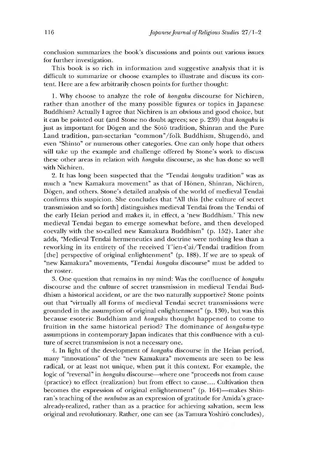conclusion summarizes the book's discussions and points out various issues for further investigation.

This book is so rich in information and suggestive analysis that it is difficult to summarize or choose examples to illustrate and discuss its content. Here are a few arbitrarily chosen points for further thought:

1.Why choose to analyze the role of *hongaku* discourse for Nichiren, rather than another of the many possible figures or topics in Japanese Buddhism? Actually I agree that Nichiren is an obvious and good choice, but it can be pointed out (and Stone no doubt agrees; see p. 239) that *hongaku* is just as important for Dogen and the Soto tradition, Shinran and the Pure Land tradition, pan-sectarian "common"/folk Buddhism, Shugendō, and even "Shinto" or numerous other categories. One can only hope that others will take up the example and challenge offered by Stone's work to discuss these other areas in relation with *hongaku* discourse, as she has done so well with Nichiren.

2. It has long been suspected that the "Tendai *hongaku* tradition" was as much a "new Kamakura movement" as that of Hōnen, Shinran, Nichiren, Dogen, and others. Stone's detailed analysis of the world of medieval Tendai confirms this suspicion. She concludes that "All this [the culture of secret transmission and so forth] distinguishes medieval Tendai from the Tendai of the early Heian period and makes it, in effect, a 'new Buddhism.' This new medieval Tendai began to emerge somewhat before, and then developed coevally with the so-called new Kamakura Buddhism" (p. 152). Later she adds, "Medieval Tendai hermeneutics and doctrine were nothing less than a reworking in its entirety of the received T'ien-t'ai/Tendai tradition from [the] perspective of original enlightenment" (p. 188). If we are to speak of "new Kamakura" movements, "Tendai *hongaku* discourse" must be added to the roster.

3. One question that remains in my mind: Was the confluence of *hongaku* discourse and the culture of secret transmission in medieval Tendai Buddhism a historical accident, or are the two naturally supportive? Stone points out that "virtually all forms of medieval Tendai secret transmissions were grounded in the assumption of original enlightenment" (p. 130), but was this because esoteric Buddhism and *hongaku* thought happened to come to fruition in the same historical period? The dominance of *hongaku-type* assumptions in contemporary Japan indicates that this confluence with a culture of secret transmission is not a necessary one.

4. In light of the development of *hongaku* discourse in the Heian period, many "innovations" of the "new Kamakura" movements are seen to be less radical, or at least not unique, when put it this context. For example, the logic of "reversal" in *hongaku* discourse—where one "proceeds not from cause (practice) to effect (realization) but from effect to cause.... Cultivation then becomes the expression of original enlightenment" (p. 164)—makes Shinran's teaching of the *nenbutsu* as an expression of gratitude for Amida's gracealready-realized, rather than as a practice for achieving salvation, seem less original and revolutionary. Rather, one can see (as Tamura Yoshiro concludes),